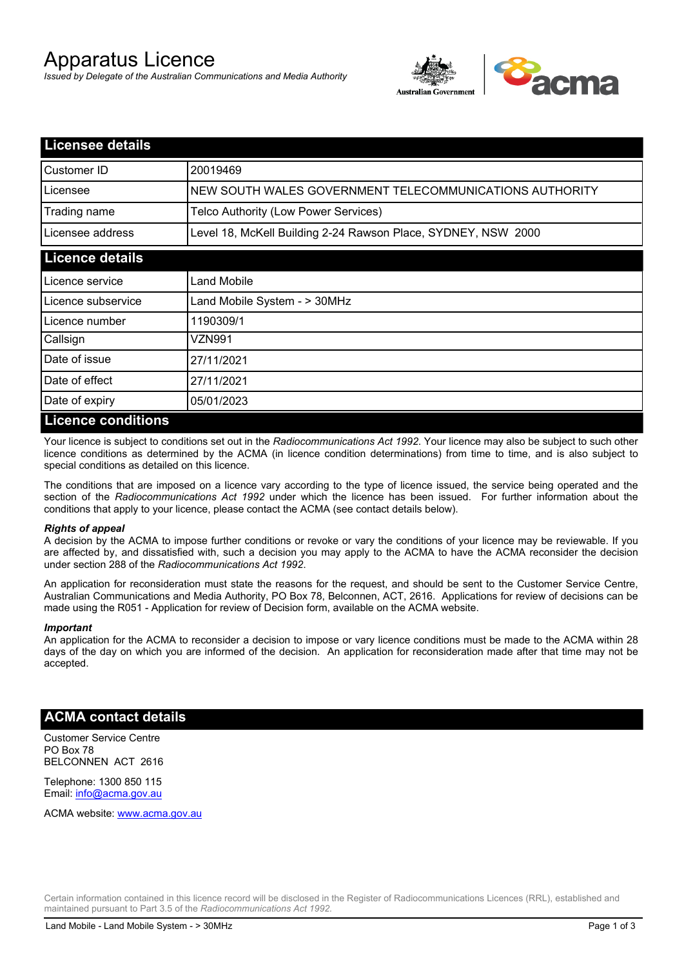# Apparatus Licence

*Issued by Delegate of the Australian Communications and Media Authority*



| <b>Licensee details</b> |                                                               |  |  |
|-------------------------|---------------------------------------------------------------|--|--|
| Customer ID             | 20019469                                                      |  |  |
| Licensee                | NEW SOUTH WALES GOVERNMENT TELECOMMUNICATIONS AUTHORITY       |  |  |
| Trading name            | Telco Authority (Low Power Services)                          |  |  |
| Licensee address        | Level 18, McKell Building 2-24 Rawson Place, SYDNEY, NSW 2000 |  |  |
| <b>Licence details</b>  |                                                               |  |  |
| l Licence service       | Land Mobile                                                   |  |  |
| Licence subservice      | Land Mobile System - > 30MHz                                  |  |  |
| Licence number          | 1190309/1                                                     |  |  |
| Callsign                | VZN991                                                        |  |  |
| Date of issue           | 27/11/2021                                                    |  |  |
| Date of effect          | 27/11/2021                                                    |  |  |
| Date of expiry          | 05/01/2023                                                    |  |  |
| Licence conditions      |                                                               |  |  |

## **Licence conditions**

Your licence is subject to conditions set out in the *Radiocommunications Act 1992*. Your licence may also be subject to such other licence conditions as determined by the ACMA (in licence condition determinations) from time to time, and is also subject to special conditions as detailed on this licence.

The conditions that are imposed on a licence vary according to the type of licence issued, the service being operated and the section of the *Radiocommunications Act 1992* under which the licence has been issued. For further information about the conditions that apply to your licence, please contact the ACMA (see contact details below).

#### *Rights of appeal*

A decision by the ACMA to impose further conditions or revoke or vary the conditions of your licence may be reviewable. If you are affected by, and dissatisfied with, such a decision you may apply to the ACMA to have the ACMA reconsider the decision under section 288 of the *Radiocommunications Act 1992*.

An application for reconsideration must state the reasons for the request, and should be sent to the Customer Service Centre, Australian Communications and Media Authority, PO Box 78, Belconnen, ACT, 2616. Applications for review of decisions can be made using the R051 - Application for review of Decision form, available on the ACMA website.

#### *Important*

An application for the ACMA to reconsider a decision to impose or vary licence conditions must be made to the ACMA within 28 days of the day on which you are informed of the decision. An application for reconsideration made after that time may not be accepted.

#### **ACMA contact details**

Customer Service Centre PO Box 78 BELCONNEN ACT 2616

Telephone: 1300 850 115 Email: info@acma.gov.au

ACMA website: www.acma.gov.au

Certain information contained in this licence record will be disclosed in the Register of Radiocommunications Licences (RRL), established and maintained pursuant to Part 3.5 of the *Radiocommunications Act 1992.*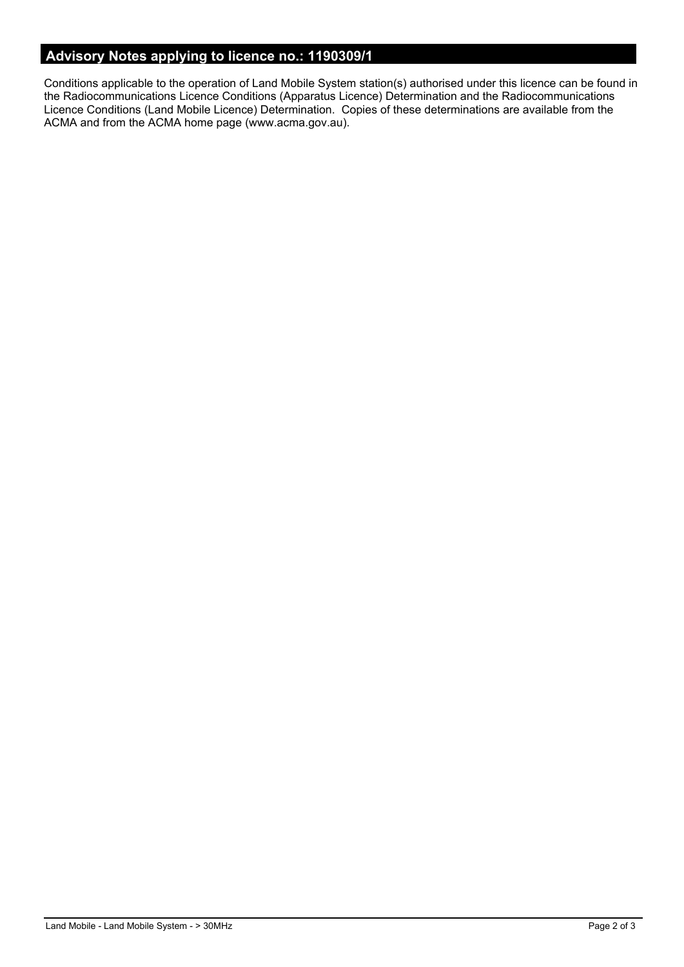# **Advisory Notes applying to licence no.: 1190309/1**

Conditions applicable to the operation of Land Mobile System station(s) authorised under this licence can be found in the Radiocommunications Licence Conditions (Apparatus Licence) Determination and the Radiocommunications Licence Conditions (Land Mobile Licence) Determination. Copies of these determinations are available from the ACMA and from the ACMA home page (www.acma.gov.au).